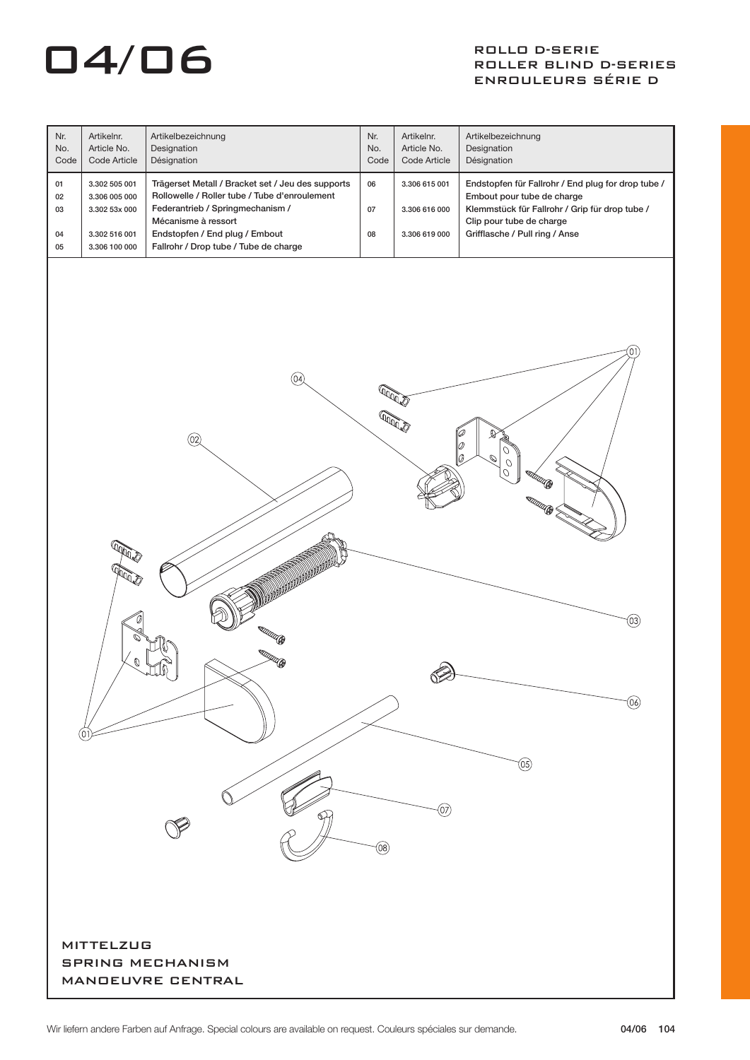## $\overline{04}/\overline{06}$  ROLLER BLIND

### ROLLER BLIND D-SERIES ENROULEURS SÉRIE D

| Nr.<br>No.<br>Code                                               | Artikelnr.<br>Article No.<br>Code Article                                         | Artikelbezeichnung<br>Designation<br>Désignation                                                                                                                                                                                         | Nr.<br>No.<br>Code   | Artikelnr.<br>Article No.<br>Code Article       | Artikelbezeichnung<br>Designation<br>Désignation                                                                                                                                                 |  |  |  |
|------------------------------------------------------------------|-----------------------------------------------------------------------------------|------------------------------------------------------------------------------------------------------------------------------------------------------------------------------------------------------------------------------------------|----------------------|-------------------------------------------------|--------------------------------------------------------------------------------------------------------------------------------------------------------------------------------------------------|--|--|--|
| 01<br>02<br>03<br>04<br>05                                       | 3.302 505 001<br>3.306 005 000<br>3.302 53x 000<br>3.302 516 001<br>3.306 100 000 | Trägerset Metall / Bracket set / Jeu des supports<br>Rollowelle / Roller tube / Tube d'enroulement<br>Federantrieb / Springmechanism /<br>Mécanisme à ressort<br>Endstopfen / End plug / Embout<br>Fallrohr / Drop tube / Tube de charge | 06<br>07<br>08       | 3.306 615 001<br>3.306 616 000<br>3.306 619 000 | Endstopfen für Fallrohr / End plug for drop tube /<br>Embout pour tube de charge<br>Klemmstück für Fallrohr / Grip für drop tube /<br>Clip pour tube de charge<br>Grifflasche / Pull ring / Anse |  |  |  |
|                                                                  | 0<br>01                                                                           | $\left(\widetilde{04}\right)$<br>$\circledcirc$<br><b>TITUTU (B</b><br><b>«atturded Gr</b>                                                                                                                                               | <b>RADOS</b><br>(08) | (07)                                            | Ο.<br>®<br>Ø<br>$\overline{O}$<br>lo.<br>Ó<br>$\sigma$<br>eadana (B<br><b>MARKARDER SERVICE</b><br>(03)<br>(06)<br>(05)                                                                          |  |  |  |
| <b>MITTELZUG</b><br><b>SPRING MECHANISM</b><br>MANDEUVRE CENTRAL |                                                                                   |                                                                                                                                                                                                                                          |                      |                                                 |                                                                                                                                                                                                  |  |  |  |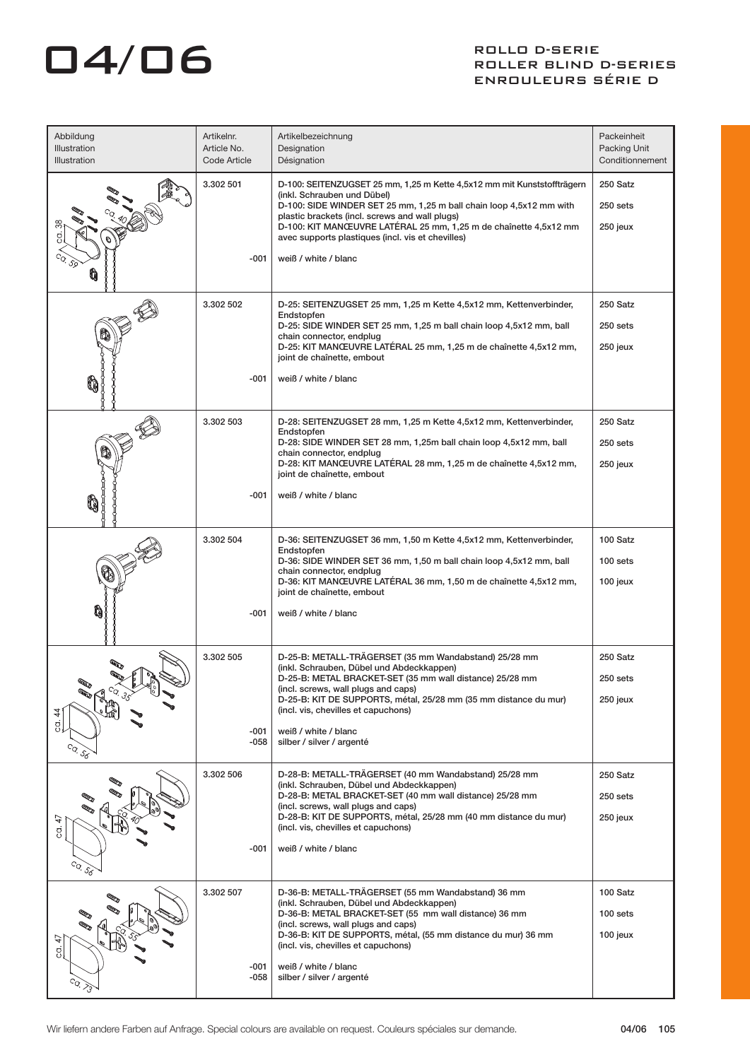# $\Box$ 4/ $\Box$ 6 ROLLER BLIND

#### ROLLER BLIND D-SERIES ENROULEURS SÉRIE D

| Abbildung<br>Illustration<br>Illustration | Artikelnr.<br>Article No.<br>Code Article | Artikelbezeichnung<br>Designation<br>Désignation                                                                                                                                                                                                                                                                                                                                  | Packeinheit<br>Packing Unit<br>Conditionnement |
|-------------------------------------------|-------------------------------------------|-----------------------------------------------------------------------------------------------------------------------------------------------------------------------------------------------------------------------------------------------------------------------------------------------------------------------------------------------------------------------------------|------------------------------------------------|
|                                           | 3.302 501<br>$-001$                       | D-100: SEITENZUGSET 25 mm, 1,25 m Kette 4,5x12 mm mit Kunststoffträgern<br>(inkl. Schrauben und Dübel)<br>D-100: SIDE WINDER SET 25 mm, 1,25 m ball chain loop 4,5x12 mm with<br>plastic brackets (incl. screws and wall plugs)<br>D-100: KIT MANCEUVRE LATÉRAL 25 mm, 1,25 m de chaînette 4,5x12 mm<br>avec supports plastiques (incl. vis et chevilles)<br>weiß / white / blanc | 250 Satz<br>250 sets<br>250 jeux               |
|                                           | 3.302 502<br>-001                         | D-25: SEITENZUGSET 25 mm, 1,25 m Kette 4,5x12 mm, Kettenverbinder,<br>Endstopfen<br>D-25: SIDE WINDER SET 25 mm, 1,25 m ball chain loop 4,5x12 mm, ball<br>chain connector, endplug<br>D-25: KIT MANCEUVRE LATÉRAL 25 mm, 1,25 m de chaînette 4,5x12 mm,<br>joint de chaînette, embout<br>weiß / white / blanc                                                                    | 250 Satz<br>250 sets<br>250 jeux               |
|                                           | 3.302 503<br>$-001$                       | D-28: SEITENZUGSET 28 mm, 1,25 m Kette 4,5x12 mm, Kettenverbinder,<br>Endstopfen<br>D-28: SIDE WINDER SET 28 mm, 1,25m ball chain loop 4,5x12 mm, ball<br>chain connector, endplug<br>D-28: KIT MANCEUVRE LATÉRAL 28 mm, 1,25 m de chaînette 4,5x12 mm,<br>joint de chaînette, embout<br>weiß / white / blanc                                                                     | 250 Satz<br>250 sets<br>250 jeux               |
| n                                         | 3.302 504<br>$-001$                       | D-36: SEITENZUGSET 36 mm, 1,50 m Kette 4,5x12 mm, Kettenverbinder,<br>Endstopfen<br>D-36: SIDE WINDER SET 36 mm, 1,50 m ball chain loop 4,5x12 mm, ball<br>chain connector, endplug<br>D-36: KIT MANCEUVRE LATÉRAL 36 mm, 1,50 m de chaînette 4,5x12 mm,<br>joint de chaînette, embout<br>weiß / white / blanc                                                                    | 100 Satz<br>100 sets<br>100 jeux               |
| 4<br>gĮ<br>$c_{Q}$ $\delta_{\sigma}$      | 3.302 505<br>-001<br>-058                 | D-25-B: METALL-TRÄGERSET (35 mm Wandabstand) 25/28 mm<br>(inkl. Schrauben, Dübel und Abdeckkappen)<br>D-25-B: METAL BRACKET-SET (35 mm wall distance) 25/28 mm<br>(incl. screws, wall plugs and caps)<br>D-25-B: KIT DE SUPPORTS, métal, 25/28 mm (35 mm distance du mur)<br>(incl. vis, chevilles et capuchons)<br>weiß / white / blanc<br>silber / silver / argenté             | 250 Satz<br>250 sets<br>250 jeux               |
| 47<br>g.<br>$^{c_{Q}}$ . 58               | 3.302 506<br>$-001$                       | D-28-B: METALL-TRÄGERSET (40 mm Wandabstand) 25/28 mm<br>(inkl. Schrauben, Dübel und Abdeckkappen)<br>D-28-B: METAL BRACKET-SET (40 mm wall distance) 25/28 mm<br>(incl. screws, wall plugs and caps)<br>D-28-B: KIT DE SUPPORTS, métal, 25/28 mm (40 mm distance du mur)<br>(incl. vis, chevilles et capuchons)<br>weiß / white / blanc                                          | 250 Satz<br>250 sets<br>250 jeux               |
| 47<br>ġ,                                  | 3.302 507<br>$-001$<br>-058               | D-36-B: METALL-TRÄGERSET (55 mm Wandabstand) 36 mm<br>(inkl. Schrauben, Dübel und Abdeckkappen)<br>D-36-B: METAL BRACKET-SET (55 mm wall distance) 36 mm<br>(incl. screws, wall plugs and caps)<br>D-36-B: KIT DE SUPPORTS, métal, (55 mm distance du mur) 36 mm<br>(incl. vis, chevilles et capuchons)<br>weiß / white / blanc<br>silber / silver / argenté                      | 100 Satz<br>100 sets<br>100 jeux               |